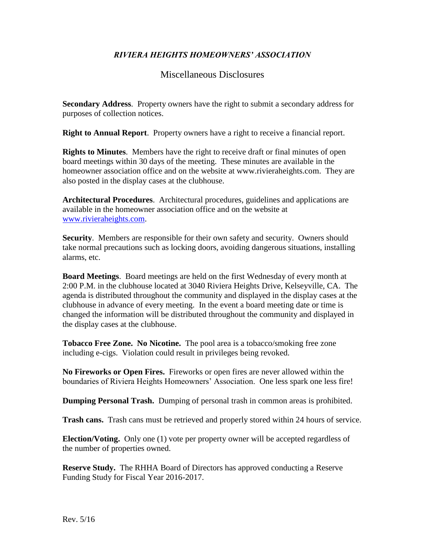## *RIVIERA HEIGHTS HOMEOWNERS' ASSOCIATION*

## Miscellaneous Disclosures

**Secondary Address**. Property owners have the right to submit a secondary address for purposes of collection notices.

**Right to Annual Report**. Property owners have a right to receive a financial report.

**Rights to Minutes**.Members have the right to receive draft or final minutes of open board meetings within 30 days of the meeting. These minutes are available in the homeowner association office and on the website at www.rivieraheights.com. They are also posted in the display cases at the clubhouse.

**Architectural Procedures**. Architectural procedures, guidelines and applications are available in the homeowner association office and on the website at [www.rivieraheights.com.](http://www.rivieraheights.com/)

**Security**. Members are responsible for their own safety and security. Owners should take normal precautions such as locking doors, avoiding dangerous situations, installing alarms, etc.

**Board Meetings**. Board meetings are held on the first Wednesday of every month at 2:00 P.M. in the clubhouse located at 3040 Riviera Heights Drive, Kelseyville, CA. The agenda is distributed throughout the community and displayed in the display cases at the clubhouse in advance of every meeting. In the event a board meeting date or time is changed the information will be distributed throughout the community and displayed in the display cases at the clubhouse.

**Tobacco Free Zone. No Nicotine.** The pool area is a tobacco/smoking free zone including e-cigs. Violation could result in privileges being revoked.

**No Fireworks or Open Fires.** Fireworks or open fires are never allowed within the boundaries of Riviera Heights Homeowners' Association. One less spark one less fire!

**Dumping Personal Trash.** Dumping of personal trash in common areas is prohibited.

**Trash cans.** Trash cans must be retrieved and properly stored within 24 hours of service.

**Election/Voting.** Only one (1) vote per property owner will be accepted regardless of the number of properties owned.

**Reserve Study.** The RHHA Board of Directors has approved conducting a Reserve Funding Study for Fiscal Year 2016-2017.